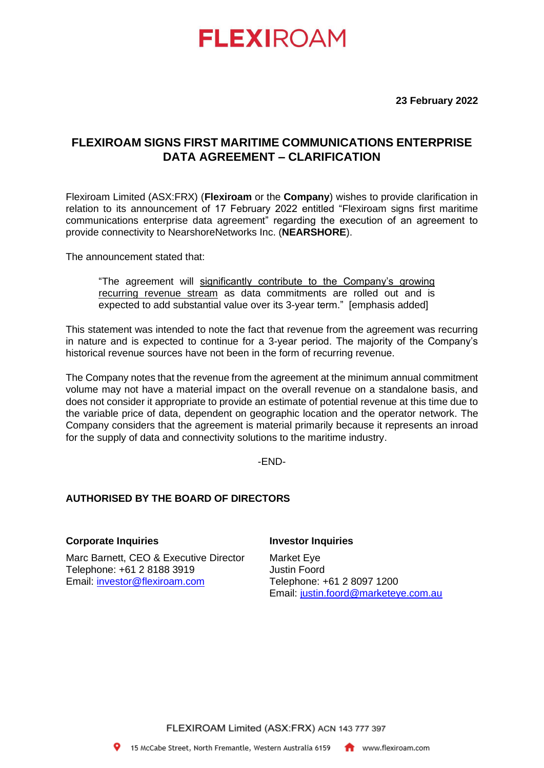# **FLEXIROAM**

**23 February 2022**

# **FLEXIROAM SIGNS FIRST MARITIME COMMUNICATIONS ENTERPRISE DATA AGREEMENT – CLARIFICATION**

Flexiroam Limited (ASX:FRX) (**Flexiroam** or the **Company**) wishes to provide clarification in relation to its announcement of 17 February 2022 entitled "Flexiroam signs first maritime communications enterprise data agreement" regarding the execution of an agreement to provide connectivity to NearshoreNetworks Inc. (**NEARSHORE**).

The announcement stated that:

"The agreement will significantly contribute to the Company's growing recurring revenue stream as data commitments are rolled out and is expected to add substantial value over its 3-year term." [emphasis added]

This statement was intended to note the fact that revenue from the agreement was recurring in nature and is expected to continue for a 3-year period. The majority of the Company's historical revenue sources have not been in the form of recurring revenue.

The Company notes that the revenue from the agreement at the minimum annual commitment volume may not have a material impact on the overall revenue on a standalone basis, and does not consider it appropriate to provide an estimate of potential revenue at this time due to the variable price of data, dependent on geographic location and the operator network. The Company considers that the agreement is material primarily because it represents an inroad for the supply of data and connectivity solutions to the maritime industry.

-END-

## **AUTHORISED BY THE BOARD OF DIRECTORS**

### **Corporate Inquiries**

Marc Barnett, CEO & Executive Director Telephone: +61 2 8188 3919 Email: [investor@flexiroam.com](mailto:investor@flexiroam.com)

#### **Investor Inquiries**

Market Eye Justin Foord Telephone: +61 2 8097 1200 Email: [justin.foord@marketeye.com.au](mailto:justin.foord@marketeye.com.au)

FLEXIROAM Limited (ASX:FRX) ACN 143 777 397